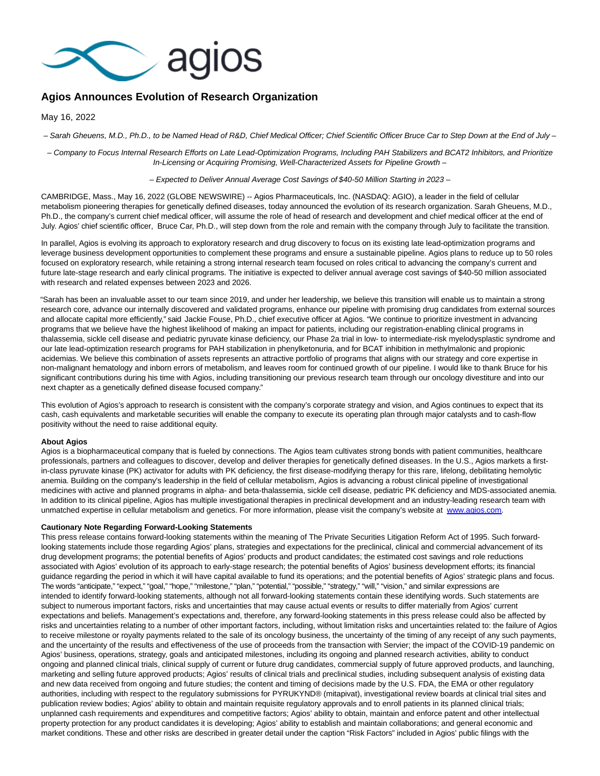

## **Agios Announces Evolution of Research Organization**

May 16, 2022

– Sarah Gheuens, M.D., Ph.D., to be Named Head of R&D, Chief Medical Officer; Chief Scientific Officer Bruce Car to Step Down at the End of July –

– Company to Focus Internal Research Efforts on Late Lead-Optimization Programs, Including PAH Stabilizers and BCAT2 Inhibitors, and Prioritize In-Licensing or Acquiring Promising, Well-Characterized Assets for Pipeline Growth –

– Expected to Deliver Annual Average Cost Savings of \$40-50 Million Starting in 2023 –

CAMBRIDGE, Mass., May 16, 2022 (GLOBE NEWSWIRE) -- Agios Pharmaceuticals, Inc. (NASDAQ: AGIO), a leader in the field of cellular metabolism pioneering therapies for genetically defined diseases, today announced the evolution of its research organization. Sarah Gheuens, M.D., Ph.D., the company's current chief medical officer, will assume the role of head of research and development and chief medical officer at the end of July. Agios' chief scientific officer, Bruce Car, Ph.D., will step down from the role and remain with the company through July to facilitate the transition.

In parallel, Agios is evolving its approach to exploratory research and drug discovery to focus on its existing late lead-optimization programs and leverage business development opportunities to complement these programs and ensure a sustainable pipeline. Agios plans to reduce up to 50 roles focused on exploratory research, while retaining a strong internal research team focused on roles critical to advancing the company's current and future late-stage research and early clinical programs. The initiative is expected to deliver annual average cost savings of \$40-50 million associated with research and related expenses between 2023 and 2026.

"Sarah has been an invaluable asset to our team since 2019, and under her leadership, we believe this transition will enable us to maintain a strong research core, advance our internally discovered and validated programs, enhance our pipeline with promising drug candidates from external sources and allocate capital more efficiently," said Jackie Fouse, Ph.D., chief executive officer at Agios. "We continue to prioritize investment in advancing programs that we believe have the highest likelihood of making an impact for patients, including our registration-enabling clinical programs in thalassemia, sickle cell disease and pediatric pyruvate kinase deficiency, our Phase 2a trial in low- to intermediate-risk myelodysplastic syndrome and our late lead-optimization research programs for PAH stabilization in phenylketonuria, and for BCAT inhibition in methylmalonic and propionic acidemias. We believe this combination of assets represents an attractive portfolio of programs that aligns with our strategy and core expertise in non-malignant hematology and inborn errors of metabolism, and leaves room for continued growth of our pipeline. I would like to thank Bruce for his significant contributions during his time with Agios, including transitioning our previous research team through our oncology divestiture and into our next chapter as a genetically defined disease focused company."

This evolution of Agios's approach to research is consistent with the company's corporate strategy and vision, and Agios continues to expect that its cash, cash equivalents and marketable securities will enable the company to execute its operating plan through major catalysts and to cash-flow positivity without the need to raise additional equity.

## **About Agios**

Agios is a biopharmaceutical company that is fueled by connections. The Agios team cultivates strong bonds with patient communities, healthcare professionals, partners and colleagues to discover, develop and deliver therapies for genetically defined diseases. In the U.S., Agios markets a firstin-class pyruvate kinase (PK) activator for adults with PK deficiency, the first disease-modifying therapy for this rare, lifelong, debilitating hemolytic anemia. Building on the company's leadership in the field of cellular metabolism, Agios is advancing a robust clinical pipeline of investigational medicines with active and planned programs in alpha- and beta-thalassemia, sickle cell disease, pediatric PK deficiency and MDS-associated anemia. In addition to its clinical pipeline, Agios has multiple investigational therapies in preclinical development and an industry-leading research team with unmatched expertise in cellular metabolism and genetics. For more information, please visit the company's website at [www.agios.com.](http://www.agios.com/)

## **Cautionary Note Regarding Forward-Looking Statements**

This press release contains forward-looking statements within the meaning of The Private Securities Litigation Reform Act of 1995. Such forwardlooking statements include those regarding Agios' plans, strategies and expectations for the preclinical, clinical and commercial advancement of its drug development programs; the potential benefits of Agios' products and product candidates; the estimated cost savings and role reductions associated with Agios' evolution of its approach to early-stage research; the potential benefits of Agios' business development efforts; its financial guidance regarding the period in which it will have capital available to fund its operations; and the potential benefits of Agios' strategic plans and focus. The words "anticipate," "expect," "goal," "hope," "milestone," "plan," "potential," "possible," "strategy," "will," "vision," and similar expressions are intended to identify forward-looking statements, although not all forward-looking statements contain these identifying words. Such statements are subject to numerous important factors, risks and uncertainties that may cause actual events or results to differ materially from Agios' current expectations and beliefs. Management's expectations and, therefore, any forward-looking statements in this press release could also be affected by risks and uncertainties relating to a number of other important factors, including, without limitation risks and uncertainties related to: the failure of Agios to receive milestone or royalty payments related to the sale of its oncology business, the uncertainty of the timing of any receipt of any such payments, and the uncertainty of the results and effectiveness of the use of proceeds from the transaction with Servier; the impact of the COVID-19 pandemic on Agios' business, operations, strategy, goals and anticipated milestones, including its ongoing and planned research activities, ability to conduct ongoing and planned clinical trials, clinical supply of current or future drug candidates, commercial supply of future approved products, and launching, marketing and selling future approved products; Agios' results of clinical trials and preclinical studies, including subsequent analysis of existing data and new data received from ongoing and future studies; the content and timing of decisions made by the U.S. FDA, the EMA or other regulatory authorities, including with respect to the regulatory submissions for PYRUKYND® (mitapivat), investigational review boards at clinical trial sites and publication review bodies; Agios' ability to obtain and maintain requisite regulatory approvals and to enroll patients in its planned clinical trials; unplanned cash requirements and expenditures and competitive factors; Agios' ability to obtain, maintain and enforce patent and other intellectual property protection for any product candidates it is developing; Agios' ability to establish and maintain collaborations; and general economic and market conditions. These and other risks are described in greater detail under the caption "Risk Factors" included in Agios' public filings with the